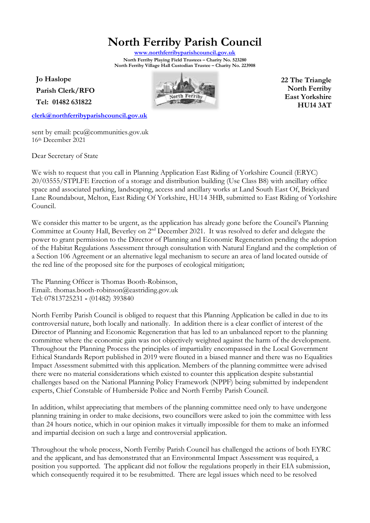# **North Ferriby Parish Council**

**[www.northferribyparishcouncil.gov.uk](http://www.northferribyparishcouncil.gov.uk/) North Ferriby Playing Field Trustees – Charity No. 523280 North Ferriby Village Hall Custodian Trustee – Charity No. 223908** 

**Jo Haslope Parish Clerk/RFO Tel: 01482 631822**

**[clerk@northferribyparishcouncil.gov.uk](mailto:clerk@northferribyparishcouncil.gov.uk)**



**22 The Triangle North Ferriby East Yorkshire HU14 3AT**

sent by email: pcu@communities.gov.uk 16th December 2021

Dear Secretary of State

We wish to request that you call in Planning Application East Riding of Yorkshire Council (ERYC) 20/03555/STPLFE Erection of a storage and distribution building (Use Class B8) with ancillary office space and associated parking, landscaping, access and ancillary works at Land South East Of, Brickyard Lane Roundabout, Melton, East Riding Of Yorkshire, HU14 3HB, submitted to East Riding of Yorkshire Council.

We consider this matter to be urgent, as the application has already gone before the Council's Planning Committee at County Hall, Beverley on 2<sup>nd</sup> December 2021. It was resolved to defer and delegate the power to grant permission to the Director of Planning and Economic Regeneration pending the adoption of the Habitat Regulations Assessment through consultation with Natural England and the completion of a Section 106 Agreement or an alternative legal mechanism to secure an area of land located outside of the red line of the proposed site for the purposes of ecological mitigation;

The Planning Officer is Thomas Booth-Robinson, Email:. thomas.booth-robinson@eastriding.gov.uk Tel: 07813725231 **-** (01482) 393840

North Ferriby Parish Council is obliged to request that this Planning Application be called in due to its controversial nature, both locally and nationally. In addition there is a clear conflict of interest of the Director of Planning and Economic Regeneration that has led to an unbalanced report to the planning committee where the economic gain was not objectively weighted against the harm of the development. Throughout the Planning Process the principles of impartiality encompassed in the Local Government Ethical Standards Report published in 2019 were flouted in a biased manner and there was no Equalities Impact Assessment submitted with this application. Members of the planning committee were advised there were no material considerations which existed to counter this application despite substantial challenges based on the National Planning Policy Framework (NPPF) being submitted by independent experts, Chief Constable of Humberside Police and North Ferriby Parish Council.

In addition, whilst appreciating that members of the planning committee need only to have undergone planning training in order to make decisions, two councillors were asked to join the committee with less than 24 hours notice, which in our opinion makes it virtually impossible for them to make an informed and impartial decision on such a large and controversial application.

Throughout the whole process, North Ferriby Parish Council has challenged the actions of both EYRC and the applicant, and has demonstrated that an Environmental Impact Assessment was required, a position you supported. The applicant did not follow the regulations properly in their EIA submission, which consequently required it to be resubmitted. There are legal issues which need to be resolved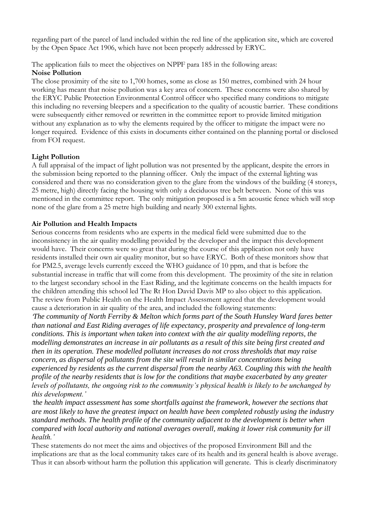regarding part of the parcel of land included within the red line of the application site, which are covered by the Open Space Act 1906, which have not been properly addressed by ERYC.

The application fails to meet the objectives on NPPF para 185 in the following areas:

### **Noise Pollution**

The close proximity of the site to 1,700 homes, some as close as 150 metres, combined with 24 hour working has meant that noise pollution was a key area of concern. These concerns were also shared by the ERYC Public Protection Environmental Control officer who specified many conditions to mitigate this including no reversing bleepers and a specification to the quality of acoustic barrier. These conditions were subsequently either removed or rewritten in the committee report to provide limited mitigation without any explanation as to why the elements required by the officer to mitigate the impact were no longer required. Evidence of this exists in documents either contained on the planning portal or disclosed from FOI request.

# **Light Pollution**

A full appraisal of the impact of light pollution was not presented by the applicant, despite the errors in the submission being reported to the planning officer. Only the impact of the external lighting was considered and there was no consideration given to the glare from the windows of the building (4 storeys, 25 metre, high) directly facing the housing with only a deciduous tree belt between. None of this was mentioned in the committee report. The only mitigation proposed is a 5m acoustic fence which will stop none of the glare from a 25 metre high building and nearly 300 external lights.

# **Air Pollution and Health Impacts**

Serious concerns from residents who are experts in the medical field were submitted due to the inconsistency in the air quality modelling provided by the developer and the impact this development would have. Their concerns were so great that during the course of this application not only have residents installed their own air quality monitor, but so have ERYC. Both of these monitors show that for PM2.5, average levels currently exceed the WHO guidance of 10 ppm, and that is before the substantial increase in traffic that will come from this development. The proximity of the site in relation to the largest secondary school in the East Riding, and the legitimate concerns on the health impacts for the children attending this school led The Rt Hon David Davis MP to also object to this application. The review from Public Health on the Health Impact Assessment agreed that the development would cause a deterioration in air quality of the area, and included the following statements:

*'The community of North Ferriby & Melton which forms part of the South Hunsley Ward fares better than national and East Riding averages of life expectancy, prosperity and prevalence of long-term conditions. This is important when taken into context with the air quality modelling reports, the modelling demonstrates an increase in air pollutants as a result of this site being first created and then in its operation. These modelled pollutant increases do not cross thresholds that may raise concern, as dispersal of pollutants from the site will result in similar concentrations being experienced by residents as the current dispersal from the nearby A63. Coupling this with the health profile of the nearby residents that is low for the conditions that maybe exacerbated by any greater levels of pollutants, the ongoing risk to the community's physical health is likely to be unchanged by this development.'* 

*'the health impact assessment has some shortfalls against the framework, however the sections that are most likely to have the greatest impact on health have been completed robustly using the industry standard methods. The health profile of the community adjacent to the development is better when compared with local authority and national averages overall, making it lower risk community for ill health.'*

These statements do not meet the aims and objectives of the proposed Environment Bill and the implications are that as the local community takes care of its health and its general health is above average. Thus it can absorb without harm the pollution this application will generate. This is clearly discriminatory